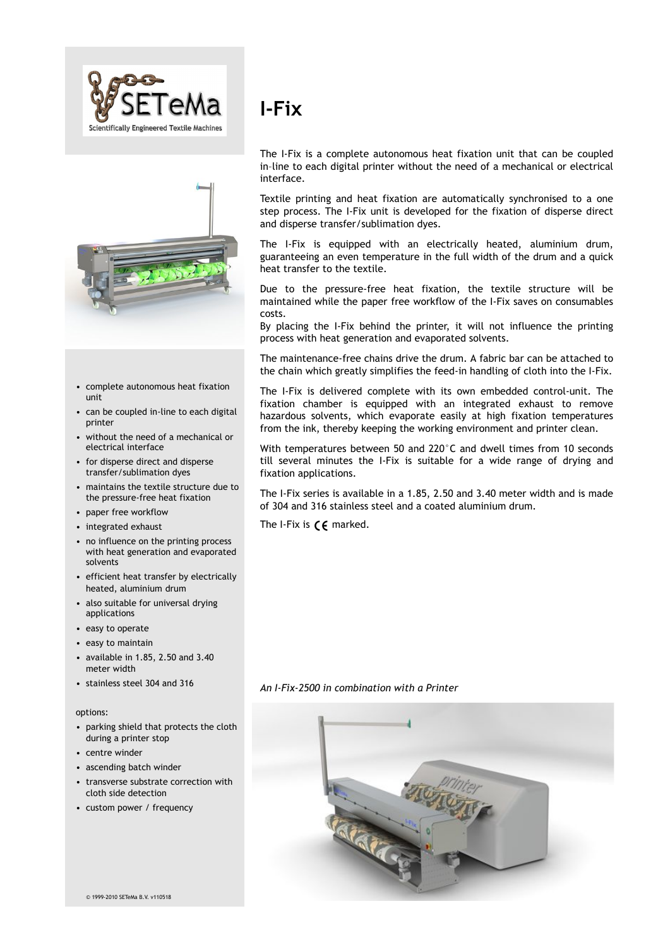



- complete autonomous heat fixation unit
- can be coupled in-line to each digital printer
- without the need of a mechanical or electrical interface
- for disperse direct and disperse transfer/sublimation dyes
- maintains the textile structure due to the pressure-free heat fixation
- paper free workflow
- integrated exhaust
- no influence on the printing process with heat generation and evaporated solvents
- efficient heat transfer by electrically heated, aluminium drum
- also suitable for universal drying applications
- easy to operate
- easy to maintain
- available in 1.85, 2.50 and 3.40 meter width
- stainless steel 304 and 316

#### options:

- parking shield that protects the cloth during a printer stop
- centre winder
- ascending batch winder
- transverse substrate correction with cloth side detection
- custom power / frequency

# **I-Fix**

The I-Fix is a complete autonomous heat fixation unit that can be coupled in–line to each digital printer without the need of a mechanical or electrical interface.

Textile printing and heat fixation are automatically synchronised to a one step process. The I-Fix unit is developed for the fixation of disperse direct and disperse transfer/sublimation dyes.

The I-Fix is equipped with an electrically heated, aluminium drum, guaranteeing an even temperature in the full width of the drum and a quick heat transfer to the textile.

Due to the pressure-free heat fixation, the textile structure will be maintained while the paper free workflow of the I-Fix saves on consumables costs.

By placing the I-Fix behind the printer, it will not influence the printing process with heat generation and evaporated solvents.

The maintenance-free chains drive the drum. A fabric bar can be attached to the chain which greatly simplifies the feed-in handling of cloth into the I-Fix.

The I-Fix is delivered complete with its own embedded control-unit. The fixation chamber is equipped with an integrated exhaust to remove hazardous solvents, which evaporate easily at high fixation temperatures from the ink, thereby keeping the working environment and printer clean.

With temperatures between 50 and 220°C and dwell times from 10 seconds till several minutes the I-Fix is suitable for a wide range of drying and fixation applications.

The I-Fix series is available in a 1.85, 2.50 and 3.40 meter width and is made of 304 and 316 stainless steel and a coated aluminium drum.

The I-Fix is  $\zeta \xi$  marked.

*An I-Fix-2500 in combination with a Printer*